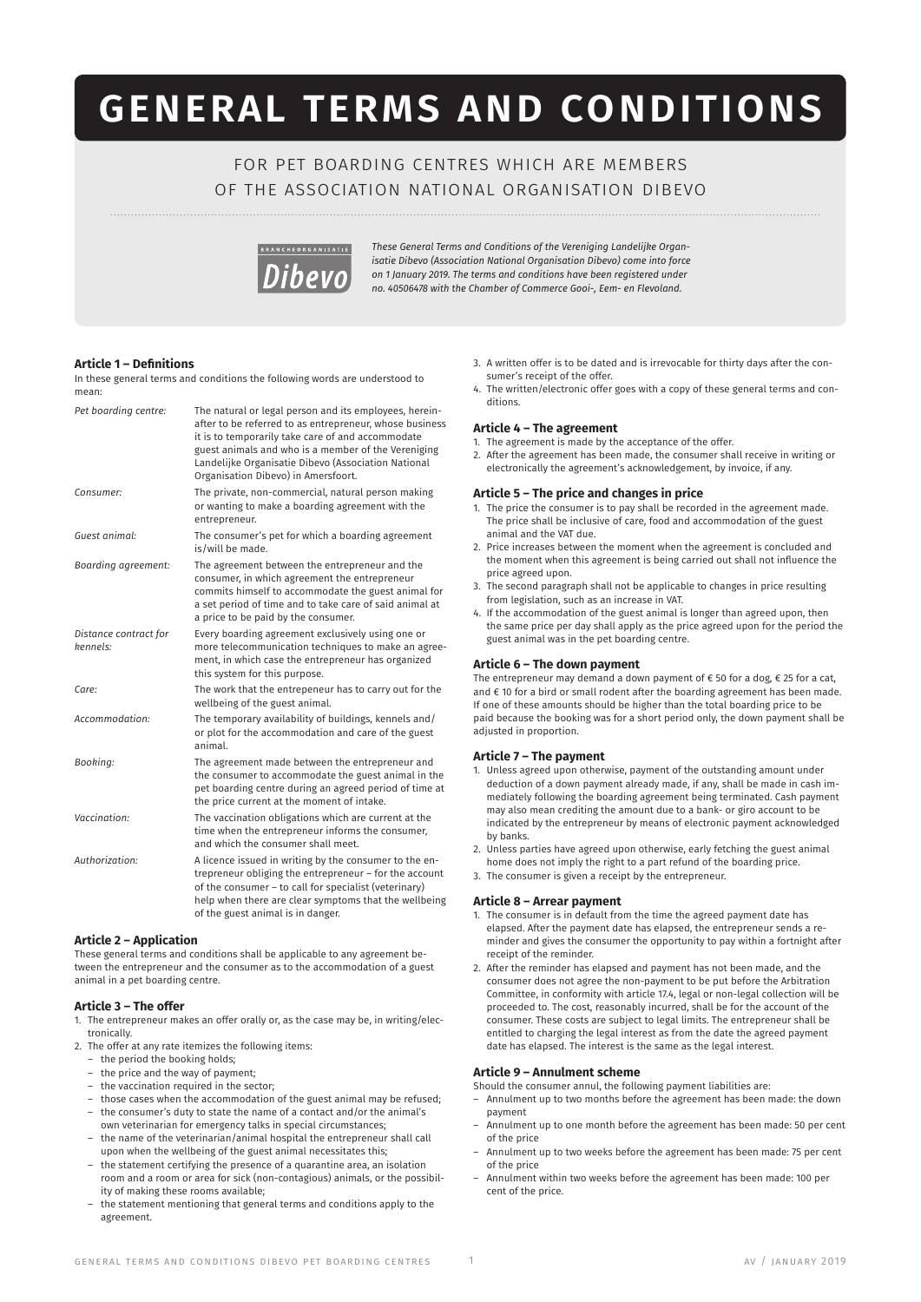# general terms and conditions

# for pet boarding centres which are members of the Association National Organisation Dibevo



*These General Terms and Conditions of the Vereniging Landelijke Organisatie Dibevo (Association National Organisation Dibevo) come into force on 1 January 2019. The terms and conditions have been registered under no. 40506478 with the Chamber of Commerce Gooi-, Eem- en Flevoland.*

# **Article 1 – Definitions**

In these general terms and conditions the following words are understood to mean:

| Pet boarding centre:              | The natural or legal person and its employees, herein-<br>after to be referred to as entrepreneur, whose business<br>it is to temporarily take care of and accommodate<br>guest animals and who is a member of the Vereniging<br>Landelijke Organisatie Dibevo (Association National<br>Organisation Dibevo) in Amersfoort. |
|-----------------------------------|-----------------------------------------------------------------------------------------------------------------------------------------------------------------------------------------------------------------------------------------------------------------------------------------------------------------------------|
| Consumer:                         | The private, non-commercial, natural person making<br>or wanting to make a boarding agreement with the<br>entrepreneur.                                                                                                                                                                                                     |
| Guest animal:                     | The consumer's pet for which a boarding agreement<br>is/will be made.                                                                                                                                                                                                                                                       |
| <b>Boarding agreement:</b>        | The agreement between the entrepreneur and the<br>consumer, in which agreement the entrepreneur<br>commits himself to accommodate the guest animal for<br>a set period of time and to take care of said animal at<br>a price to be paid by the consumer.                                                                    |
| Distance contract for<br>kennels: | Every boarding agreement exclusively using one or<br>more telecommunication techniques to make an agree-<br>ment, in which case the entrepreneur has organized<br>this system for this purpose.                                                                                                                             |
| Care:                             | The work that the entrepeneur has to carry out for the<br>wellbeing of the guest animal.                                                                                                                                                                                                                                    |
| Accommodation:                    | The temporary availability of buildings, kennels and/<br>or plot for the accommodation and care of the guest<br>animal.                                                                                                                                                                                                     |
| Booking:                          | The agreement made between the entrepreneur and<br>the consumer to accommodate the guest animal in the<br>pet boarding centre during an agreed period of time at<br>the price current at the moment of intake.                                                                                                              |
| Vaccination:                      | The vaccination obligations which are current at the<br>time when the entrepreneur informs the consumer,<br>and which the consumer shall meet                                                                                                                                                                               |
| Authorization:                    | A licence issued in writing by the consumer to the en-<br>trepreneur obliging the entrepreneur - for the account<br>of the consumer - to call for specialist (veterinary)<br>help when there are clear symptoms that the wellbeing<br>of the guest animal is in danger.                                                     |

# **Article 2 – Application**

These general terms and conditions shall be applicable to any agreement between the entrepreneur and the consumer as to the accommodation of a guest animal in a pet boarding centre.

# **Article 3 – The offer**

1. The entrepreneur makes an offer orally or, as the case may be, in writing/electronically.

- 2. The offer at any rate itemizes the following items:
	- the period the booking holds;
	- the price and the way of payment;
	- the vaccination required in the sector;
	- those cases when the accommodation of the guest animal may be refused;
	- the consumer's duty to state the name of a contact and/or the animal's own veterinarian for emergency talks in special circumstances;
	- the name of the veterinarian/animal hospital the entrepreneur shall call upon when the wellbeing of the guest animal necessitates this;
	- the statement certifying the presence of a quarantine area, an isolation room and a room or area for sick (non-contagious) animals, or the possibility of making these rooms available;
	- the statement mentioning that general terms and conditions apply to the agreement.
- 3. A written offer is to be dated and is irrevocable for thirty days after the consumer's receipt of the offer.
- 4. The written/electronic offer goes with a copy of these general terms and conditions.

# **Article 4 – The agreement**

- 1. The agreement is made by the acceptance of the offer.
- 2. After the agreement has been made, the consumer shall receive in writing or electronically the agreement's acknowledgement, by invoice, if any.

#### **Article 5 – The price and changes in price**

- 1. The price the consumer is to pay shall be recorded in the agreement made. The price shall be inclusive of care, food and accommodation of the guest animal and the VAT due.
- 2. Price increases between the moment when the agreement is concluded and the moment when this agreement is being carried out shall not influence the price agreed upon.
- 3. The second paragraph shall not be applicable to changes in price resulting from legislation, such as an increase in VAT.
- 4. If the accommodation of the guest animal is longer than agreed upon, then the same price per day shall apply as the price agreed upon for the period the guest animal was in the pet boarding centre.

# **Article 6 – The down payment**

The entrepreneur may demand a down payment of  $\epsilon$  50 for a dog,  $\epsilon$  25 for a cat, and  $\epsilon$  10 for a bird or small rodent after the boarding agreement has been made. If one of these amounts should be higher than the total boarding price to be paid because the booking was for a short period only, the down payment shall be adjusted in proportion.

# **Article 7 – The payment**

- 1. Unless agreed upon otherwise, payment of the outstanding amount under deduction of a down payment already made, if any, shall be made in cash immediately following the boarding agreement being terminated. Cash payment may also mean crediting the amount due to a bank- or giro account to be indicated by the entrepreneur by means of electronic payment acknowledged by banks.
- 2. Unless parties have agreed upon otherwise, early fetching the guest animal home does not imply the right to a part refund of the boarding price.
- 3. The consumer is given a receipt by the entrepreneur.

#### **Article 8 – Arrear payment**

- 1. The consumer is in default from the time the agreed payment date has elapsed. After the payment date has elapsed, the entrepreneur sends a reminder and gives the consumer the opportunity to pay within a fortnight after receipt of the reminder.
- 2. After the reminder has elapsed and payment has not been made, and the consumer does not agree the non-payment to be put before the Arbitration Committee, in conformity with article 17.4, legal or non-legal collection will be proceeded to. The cost, reasonably incurred, shall be for the account of the consumer. These costs are subject to legal limits. The entrepreneur shall be entitled to charging the legal interest as from the date the agreed payment date has elapsed. The interest is the same as the legal interest.

#### **Article 9 – Annulment scheme**

Should the consumer annul, the following payment liabilities are:

- Annulment up to two months before the agreement has been made: the down payment
- Annulment up to one month before the agreement has been made: 50 per cent of the price
- Annulment up to two weeks before the agreement has been made: 75 per cent of the price
- Annulment within two weeks before the agreement has been made: 100 per cent of the price.